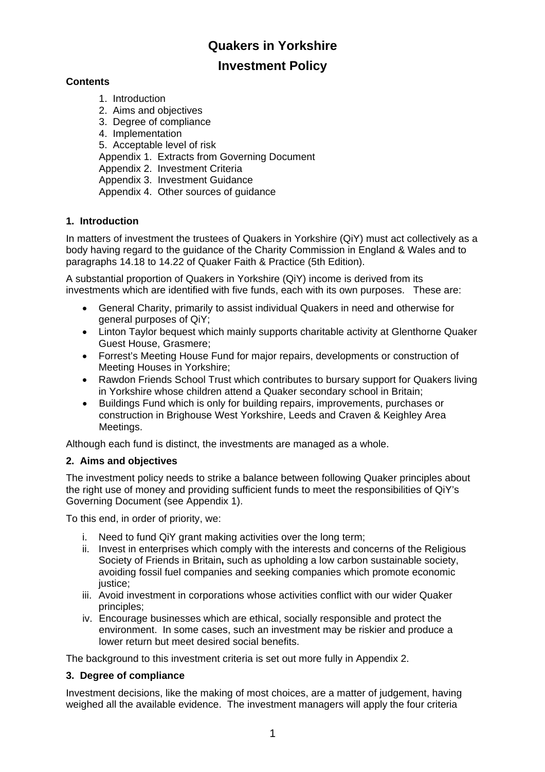# **Quakers in Yorkshire**

# **Investment Policy**

## **Contents**

- 1. Introduction
- 2. Aims and objectives
- 3. Degree of compliance
- 4. Implementation

5. Acceptable level of risk

Appendix 1. Extracts from Governing Document

Appendix 2. Investment Criteria

Appendix 3. Investment Guidance

Appendix 4. Other sources of guidance

## **1. Introduction**

In matters of investment the trustees of Quakers in Yorkshire (QiY) must act collectively as a body having regard to the guidance of the Charity Commission in England & Wales and to paragraphs 14.18 to 14.22 of Quaker Faith & Practice (5th Edition).

A substantial proportion of Quakers in Yorkshire (QiY) income is derived from its investments which are identified with five funds, each with its own purposes. These are:

- General Charity, primarily to assist individual Quakers in need and otherwise for general purposes of QiY;
- Linton Taylor bequest which mainly supports charitable activity at Glenthorne Quaker Guest House, Grasmere;
- Forrest's Meeting House Fund for major repairs, developments or construction of Meeting Houses in Yorkshire;
- Rawdon Friends School Trust which contributes to bursary support for Quakers living in Yorkshire whose children attend a Quaker secondary school in Britain;
- Buildings Fund which is only for building repairs, improvements, purchases or construction in Brighouse West Yorkshire, Leeds and Craven & Keighley Area Meetings.

Although each fund is distinct, the investments are managed as a whole.

## **2. Aims and objectives**

The investment policy needs to strike a balance between following Quaker principles about the right use of money and providing sufficient funds to meet the responsibilities of QiY's Governing Document (see Appendix 1).

To this end, in order of priority, we:

- i. Need to fund QiY grant making activities over the long term;
- ii. Invest in enterprises which comply with the interests and concerns of the Religious Society of Friends in Britain**,** such as upholding a low carbon sustainable society, avoiding fossil fuel companies and seeking companies which promote economic justice:
- iii. Avoid investment in corporations whose activities conflict with our wider Quaker principles;
- iv. Encourage businesses which are ethical, socially responsible and protect the environment. In some cases, such an investment may be riskier and produce a lower return but meet desired social benefits.

The background to this investment criteria is set out more fully in Appendix 2.

## **3. Degree of compliance**

Investment decisions, like the making of most choices, are a matter of judgement, having weighed all the available evidence. The investment managers will apply the four criteria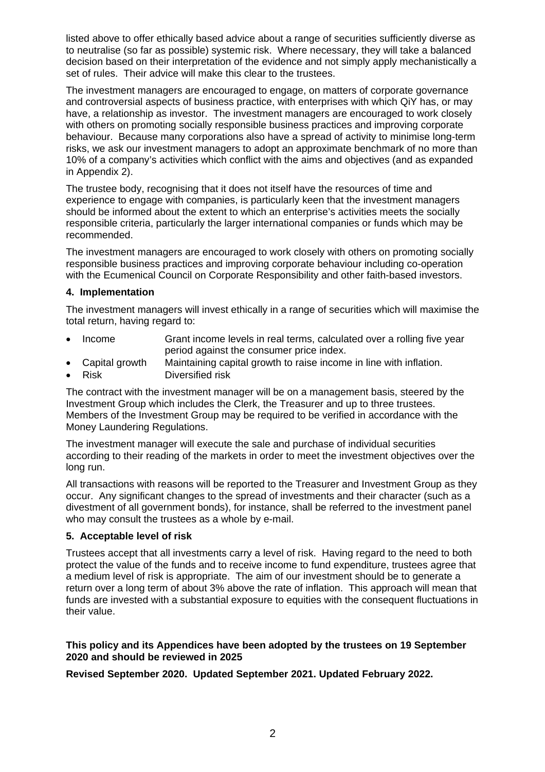listed above to offer ethically based advice about a range of securities sufficiently diverse as to neutralise (so far as possible) systemic risk. Where necessary, they will take a balanced decision based on their interpretation of the evidence and not simply apply mechanistically a set of rules. Their advice will make this clear to the trustees.

The investment managers are encouraged to engage, on matters of corporate governance and controversial aspects of business practice, with enterprises with which QiY has, or may have, a relationship as investor. The investment managers are encouraged to work closely with others on promoting socially responsible business practices and improving corporate behaviour. Because many corporations also have a spread of activity to minimise long-term risks, we ask our investment managers to adopt an approximate benchmark of no more than 10% of a company's activities which conflict with the aims and objectives (and as expanded in Appendix 2).

The trustee body, recognising that it does not itself have the resources of time and experience to engage with companies, is particularly keen that the investment managers should be informed about the extent to which an enterprise's activities meets the socially responsible criteria, particularly the larger international companies or funds which may be recommended.

The investment managers are encouraged to work closely with others on promoting socially responsible business practices and improving corporate behaviour including co-operation with the Ecumenical Council on Corporate Responsibility and other faith-based investors.

#### **4. Implementation**

The investment managers will invest ethically in a range of securities which will maximise the total return, having regard to:

- Income Grant income levels in real terms, calculated over a rolling five year period against the consumer price index.
- Capital growth Maintaining capital growth to raise income in line with inflation.
- Risk Diversified risk

The contract with the investment manager will be on a management basis, steered by the Investment Group which includes the Clerk, the Treasurer and up to three trustees. Members of the Investment Group may be required to be verified in accordance with the Money Laundering Regulations.

The investment manager will execute the sale and purchase of individual securities according to their reading of the markets in order to meet the investment objectives over the long run.

All transactions with reasons will be reported to the Treasurer and Investment Group as they occur. Any significant changes to the spread of investments and their character (such as a divestment of all government bonds), for instance, shall be referred to the investment panel who may consult the trustees as a whole by e-mail.

#### **5. Acceptable level of risk**

Trustees accept that all investments carry a level of risk. Having regard to the need to both protect the value of the funds and to receive income to fund expenditure, trustees agree that a medium level of risk is appropriate. The aim of our investment should be to generate a return over a long term of about 3% above the rate of inflation. This approach will mean that funds are invested with a substantial exposure to equities with the consequent fluctuations in their value.

#### **This policy and its Appendices have been adopted by the trustees on 19 September 2020 and should be reviewed in 2025**

**Revised September 2020. Updated September 2021. Updated February 2022.**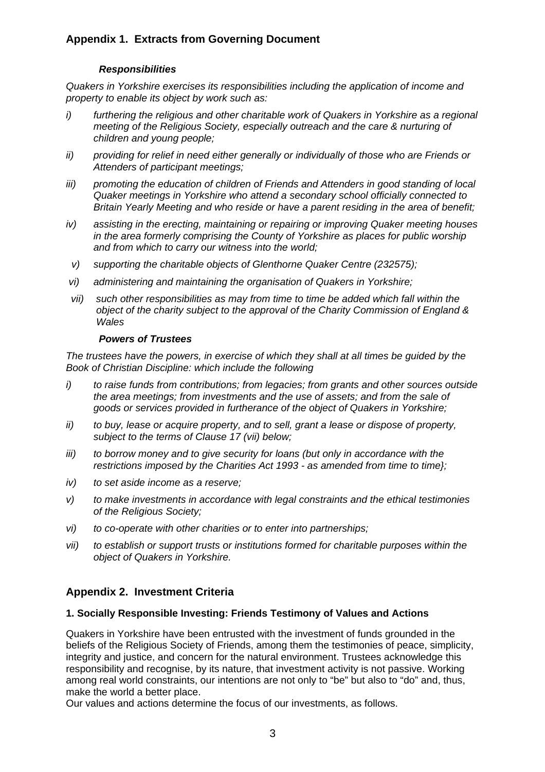# **Appendix 1. Extracts from Governing Document**

#### *Responsibilities*

*Quakers in Yorkshire exercises its responsibilities including the application of income and property to enable its object by work such as:* 

- *i) furthering the religious and other charitable work of Quakers in Yorkshire as a regional meeting of the Religious Society, especially outreach and the care & nurturing of children and young people;*
- *ii) providing for relief in need either generally or individually of those who are Friends or Attenders of participant meetings;*
- *iii) promoting the education of children of Friends and Attenders in good standing of local Quaker meetings in Yorkshire who attend a secondary school officially connected to Britain Yearly Meeting and who reside or have a parent residing in the area of benefit;*
- *iv) assisting in the erecting, maintaining or repairing or improving Quaker meeting houses in the area formerly comprising the County of Yorkshire as places for public worship and from which to carry our witness into the world;*
- *v) supporting the charitable objects of Glenthorne Quaker Centre (232575);*
- *vi) administering and maintaining the organisation of Quakers in Yorkshire;*
- *vii) such other responsibilities as may from time to time be added which fall within the object of the charity subject to the approval of the Charity Commission of England & Wales*

#### *Powers of Trustees*

*The trustees have the powers, in exercise of which they shall at all times be guided by the Book of Christian Discipline: which include the following* 

- *i) to raise funds from contributions; from legacies; from grants and other sources outside the area meetings; from investments and the use of assets; and from the sale of goods or services provided in furtherance of the object of Quakers in Yorkshire;*
- *ii) to buy, lease or acquire property, and to sell, grant a lease or dispose of property, subject to the terms of Clause 17 (vii) below;*
- *iii) to borrow money and to give security for loans (but only in accordance with the restrictions imposed by the Charities Act 1993 - as amended from time to time};*
- *iv) to set aside income as a reserve;*
- *v) to make investments in accordance with legal constraints and the ethical testimonies of the Religious Society;*
- *vi) to co-operate with other charities or to enter into partnerships;*
- *vii) to establish or support trusts or institutions formed for charitable purposes within the object of Quakers in Yorkshire.*

## **Appendix 2. Investment Criteria**

#### **1. Socially Responsible Investing: Friends Testimony of Values and Actions**

Quakers in Yorkshire have been entrusted with the investment of funds grounded in the beliefs of the Religious Society of Friends, among them the testimonies of peace, simplicity, integrity and justice, and concern for the natural environment. Trustees acknowledge this responsibility and recognise, by its nature, that investment activity is not passive. Working among real world constraints, our intentions are not only to "be" but also to "do" and, thus, make the world a better place.

Our values and actions determine the focus of our investments, as follows.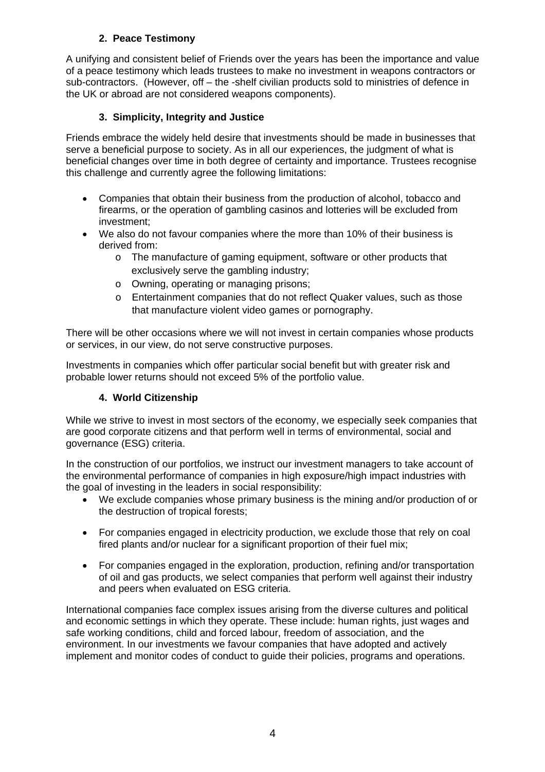# **2. Peace Testimony**

A unifying and consistent belief of Friends over the years has been the importance and value of a peace testimony which leads trustees to make no investment in weapons contractors or sub-contractors. (However, off – the -shelf civilian products sold to ministries of defence in the UK or abroad are not considered weapons components).

## **3. Simplicity, Integrity and Justice**

Friends embrace the widely held desire that investments should be made in businesses that serve a beneficial purpose to society. As in all our experiences, the judgment of what is beneficial changes over time in both degree of certainty and importance. Trustees recognise this challenge and currently agree the following limitations:

- Companies that obtain their business from the production of alcohol, tobacco and firearms, or the operation of gambling casinos and lotteries will be excluded from investment;
- We also do not favour companies where the more than 10% of their business is derived from:
	- o The manufacture of gaming equipment, software or other products that exclusively serve the gambling industry;
	- o Owning, operating or managing prisons;
	- o Entertainment companies that do not reflect Quaker values, such as those that manufacture violent video games or pornography.

There will be other occasions where we will not invest in certain companies whose products or services, in our view, do not serve constructive purposes.

Investments in companies which offer particular social benefit but with greater risk and probable lower returns should not exceed 5% of the portfolio value.

## **4. World Citizenship**

While we strive to invest in most sectors of the economy, we especially seek companies that are good corporate citizens and that perform well in terms of environmental, social and governance (ESG) criteria.

In the construction of our portfolios, we instruct our investment managers to take account of the environmental performance of companies in high exposure/high impact industries with the goal of investing in the leaders in social responsibility:

- We exclude companies whose primary business is the mining and/or production of or the destruction of tropical forests;
- For companies engaged in electricity production, we exclude those that rely on coal fired plants and/or nuclear for a significant proportion of their fuel mix;
- For companies engaged in the exploration, production, refining and/or transportation of oil and gas products, we select companies that perform well against their industry and peers when evaluated on ESG criteria.

International companies face complex issues arising from the diverse cultures and political and economic settings in which they operate. These include: human rights, just wages and safe working conditions, child and forced labour, freedom of association, and the environment. In our investments we favour companies that have adopted and actively implement and monitor codes of conduct to guide their policies, programs and operations.